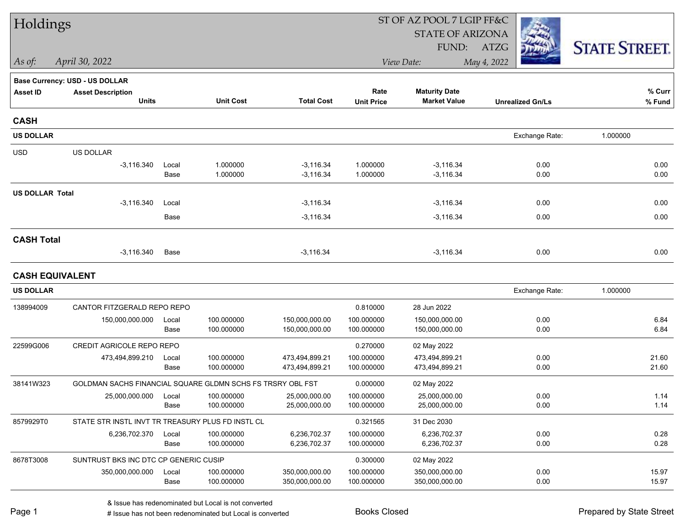| Holdings               |                                                            |               |                          |                                |                          | ST OF AZ POOL 7 LGIP FF&C      |                         |                      |
|------------------------|------------------------------------------------------------|---------------|--------------------------|--------------------------------|--------------------------|--------------------------------|-------------------------|----------------------|
|                        |                                                            |               |                          |                                |                          | <b>STATE OF ARIZONA</b>        |                         |                      |
|                        |                                                            |               |                          |                                |                          | FUND:                          | ATZG                    | <b>STATE STREET.</b> |
| As of:                 | April 30, 2022                                             |               |                          |                                |                          | View Date:                     | May 4, 2022             |                      |
|                        | Base Currency: USD - US DOLLAR                             |               |                          |                                |                          |                                |                         |                      |
| <b>Asset ID</b>        | <b>Asset Description</b>                                   |               |                          |                                | Rate                     | <b>Maturity Date</b>           |                         | % Curr               |
|                        | <b>Units</b>                                               |               | <b>Unit Cost</b>         | <b>Total Cost</b>              | <b>Unit Price</b>        | <b>Market Value</b>            | <b>Unrealized Gn/Ls</b> | % Fund               |
| <b>CASH</b>            |                                                            |               |                          |                                |                          |                                |                         |                      |
| <b>US DOLLAR</b>       |                                                            |               |                          |                                |                          |                                | Exchange Rate:          | 1.000000             |
| <b>USD</b>             | US DOLLAR                                                  |               |                          |                                |                          |                                |                         |                      |
|                        | $-3,116.340$                                               | Local         | 1.000000                 | $-3,116.34$                    | 1.000000                 | $-3,116.34$                    | 0.00                    | 0.00                 |
|                        |                                                            | Base          | 1.000000                 | $-3,116.34$                    | 1.000000                 | $-3,116.34$                    | 0.00                    | 0.00                 |
| <b>US DOLLAR Total</b> |                                                            |               |                          |                                |                          |                                |                         |                      |
|                        | $-3,116.340$                                               | Local         |                          | $-3,116.34$                    |                          | $-3,116.34$                    | 0.00                    | 0.00                 |
|                        |                                                            | Base          |                          | $-3,116.34$                    |                          | $-3,116.34$                    | 0.00                    | 0.00                 |
| <b>CASH Total</b>      |                                                            |               |                          |                                |                          |                                |                         |                      |
|                        | $-3,116.340$                                               | Base          |                          | $-3,116.34$                    |                          | $-3,116.34$                    | 0.00                    | 0.00                 |
| <b>CASH EQUIVALENT</b> |                                                            |               |                          |                                |                          |                                |                         |                      |
| <b>US DOLLAR</b>       |                                                            |               |                          |                                |                          |                                | Exchange Rate:          | 1.000000             |
| 138994009              | CANTOR FITZGERALD REPO REPO                                |               |                          |                                | 0.810000                 | 28 Jun 2022                    |                         |                      |
|                        | 150,000,000.000                                            | Local         | 100.000000               | 150,000,000.00                 | 100.000000               | 150,000,000.00                 | 0.00                    | 6.84                 |
|                        |                                                            | Base          | 100.000000               | 150,000,000.00                 | 100.000000               | 150,000,000.00                 | 0.00                    | 6.84                 |
| 22599G006              | CREDIT AGRICOLE REPO REPO                                  |               |                          |                                | 0.270000                 | 02 May 2022                    |                         |                      |
|                        | 473,494,899.210                                            | Local         | 100.000000               | 473,494,899.21                 | 100.000000               | 473,494,899.21                 | 0.00                    | 21.60                |
|                        |                                                            | Base          | 100.000000               | 473,494,899.21                 | 100.000000               | 473,494,899.21                 | 0.00                    | 21.60                |
| 38141W323              | GOLDMAN SACHS FINANCIAL SQUARE GLDMN SCHS FS TRSRY OBL FST |               |                          |                                | 0.000000                 | 02 May 2022                    |                         |                      |
|                        | 25,000,000.000                                             | Local<br>Base | 100.000000<br>100.000000 | 25,000,000.00<br>25,000,000.00 | 100.000000<br>100.000000 | 25.000.000.00<br>25,000,000.00 | 0.00<br>0.00            | 1.14<br>1.14         |
| 8579929T0              | STATE STR INSTL INVT TR TREASURY PLUS FD INSTL CL          |               |                          |                                | 0.321565                 | 31 Dec 2030                    |                         |                      |
|                        | 6,236,702.370                                              | Local         | 100.000000               | 6,236,702.37                   | 100.000000               | 6,236,702.37                   | 0.00                    | 0.28                 |
|                        |                                                            | Base          | 100.000000               | 6,236,702.37                   | 100.000000               | 6,236,702.37                   | 0.00                    | 0.28                 |
| 8678T3008              | SUNTRUST BKS INC DTC CP GENERIC CUSIP                      |               |                          |                                | 0.300000                 | 02 May 2022                    |                         |                      |
|                        | 350,000,000.000                                            | Local         | 100.000000               | 350,000,000.00                 | 100.000000               | 350,000,000.00                 | 0.00                    | 15.97                |
|                        |                                                            | Base          | 100.000000               | 350,000,000.00                 | 100.000000               | 350,000,000.00                 | 0.00                    | 15.97                |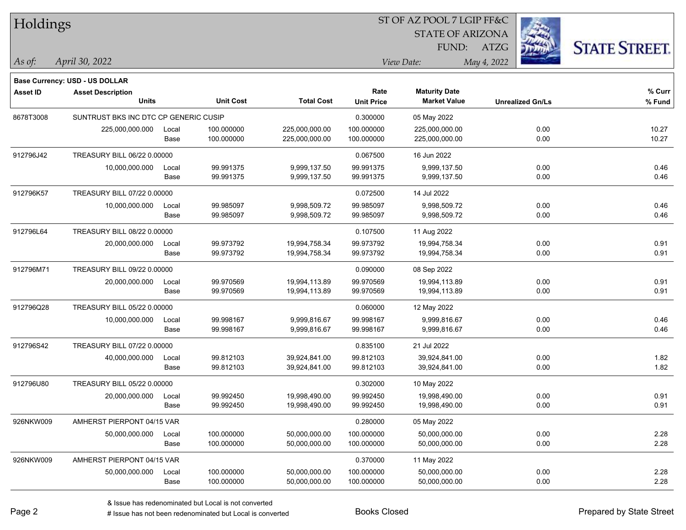| Holdings        |                                       |       |                  |                   |                   | ST OF AZ POOL 7 LGIP FF&C |                         |                      |
|-----------------|---------------------------------------|-------|------------------|-------------------|-------------------|---------------------------|-------------------------|----------------------|
|                 |                                       |       |                  |                   |                   | <b>STATE OF ARIZONA</b>   |                         |                      |
|                 |                                       |       |                  |                   |                   | FUND:                     | <b>ATZG</b>             | <b>STATE STREET.</b> |
| As of:          | April 30, 2022                        |       |                  |                   |                   | View Date:                | May 4, 2022             |                      |
|                 | Base Currency: USD - US DOLLAR        |       |                  |                   |                   |                           |                         |                      |
| <b>Asset ID</b> | <b>Asset Description</b>              |       |                  |                   | Rate              | <b>Maturity Date</b>      |                         | % Curr               |
|                 | <b>Units</b>                          |       | <b>Unit Cost</b> | <b>Total Cost</b> | <b>Unit Price</b> | <b>Market Value</b>       | <b>Unrealized Gn/Ls</b> | % Fund               |
| 8678T3008       | SUNTRUST BKS INC DTC CP GENERIC CUSIP |       |                  |                   | 0.300000          | 05 May 2022               |                         |                      |
|                 | 225,000,000.000                       | Local | 100.000000       | 225,000,000.00    | 100.000000        | 225,000,000.00            | 0.00                    | 10.27                |
|                 |                                       | Base  | 100.000000       | 225,000,000.00    | 100.000000        | 225,000,000.00            | 0.00                    | 10.27                |
| 912796J42       | TREASURY BILL 06/22 0.00000           |       |                  |                   | 0.067500          | 16 Jun 2022               |                         |                      |
|                 | 10,000,000.000                        | Local | 99.991375        | 9,999,137.50      | 99.991375         | 9,999,137.50              | 0.00                    | 0.46                 |
|                 |                                       | Base  | 99.991375        | 9,999,137.50      | 99.991375         | 9,999,137.50              | 0.00                    | 0.46                 |
| 912796K57       | TREASURY BILL 07/22 0.00000           |       |                  |                   | 0.072500          | 14 Jul 2022               |                         |                      |
|                 | 10,000,000.000                        | Local | 99.985097        | 9,998,509.72      | 99.985097         | 9,998,509.72              | 0.00                    | 0.46                 |
|                 |                                       | Base  | 99.985097        | 9,998,509.72      | 99.985097         | 9,998,509.72              | 0.00                    | 0.46                 |
| 912796L64       | TREASURY BILL 08/22 0.00000           |       |                  |                   | 0.107500          | 11 Aug 2022               |                         |                      |
|                 | 20,000,000.000                        | Local | 99.973792        | 19,994,758.34     | 99.973792         | 19,994,758.34             | 0.00                    | 0.91                 |
|                 |                                       | Base  | 99.973792        | 19,994,758.34     | 99.973792         | 19,994,758.34             | 0.00                    | 0.91                 |
| 912796M71       | TREASURY BILL 09/22 0.00000           |       |                  |                   | 0.090000          | 08 Sep 2022               |                         |                      |
|                 | 20,000,000.000                        | Local | 99.970569        | 19,994,113.89     | 99.970569         | 19,994,113.89             | 0.00                    | 0.91                 |
|                 |                                       | Base  | 99.970569        | 19,994,113.89     | 99.970569         | 19,994,113.89             | 0.00                    | 0.91                 |
| 912796Q28       | TREASURY BILL 05/22 0.00000           |       |                  |                   | 0.060000          | 12 May 2022               |                         |                      |
|                 | 10,000,000.000                        | Local | 99.998167        | 9,999,816.67      | 99.998167         | 9,999,816.67              | 0.00                    | 0.46                 |
|                 |                                       | Base  | 99.998167        | 9,999,816.67      | 99.998167         | 9,999,816.67              | 0.00                    | 0.46                 |
| 912796S42       | TREASURY BILL 07/22 0.00000           |       |                  |                   | 0.835100          | 21 Jul 2022               |                         |                      |
|                 | 40,000,000.000                        | Local | 99.812103        | 39,924,841.00     | 99.812103         | 39,924,841.00             | 0.00                    | 1.82                 |
|                 |                                       | Base  | 99.812103        | 39,924,841.00     | 99.812103         | 39,924,841.00             | 0.00                    | 1.82                 |
| 912796U80       | TREASURY BILL 05/22 0.00000           |       |                  |                   | 0.302000          | 10 May 2022               |                         |                      |
|                 | 20,000,000.000                        | Local | 99.992450        | 19,998,490.00     | 99.992450         | 19,998,490.00             | 0.00                    | 0.91                 |
|                 |                                       | Base  | 99.992450        | 19,998,490.00     | 99.992450         | 19,998,490.00             | 0.00                    | 0.91                 |
| 926NKW009       | AMHERST PIERPONT 04/15 VAR            |       |                  |                   | 0.280000          | 05 May 2022               |                         |                      |
|                 | 50,000,000.000                        | Local | 100.000000       | 50,000,000.00     | 100.000000        | 50,000,000.00             | 0.00                    | 2.28                 |
|                 |                                       | Base  | 100.000000       | 50,000,000.00     | 100.000000        | 50,000,000.00             | 0.00                    | 2.28                 |
| 926NKW009       | AMHERST PIERPONT 04/15 VAR            |       |                  |                   | 0.370000          | 11 May 2022               |                         |                      |
|                 | 50,000,000.000                        | Local | 100.000000       | 50,000,000.00     | 100.000000        | 50,000,000.00             | 0.00                    | 2.28                 |
|                 |                                       | Base  | 100.000000       | 50,000,000.00     | 100.000000        | 50,000,000.00             | 0.00                    | 2.28                 |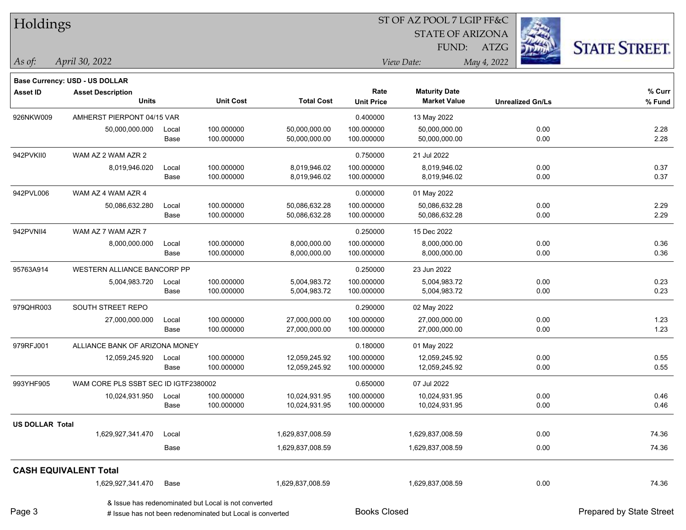|                        | 51 OF AZ POOL 7 LGIP FF&C<br>Holdings<br>i. |       |                                                           |                   |                     |                         |                         |                          |
|------------------------|---------------------------------------------|-------|-----------------------------------------------------------|-------------------|---------------------|-------------------------|-------------------------|--------------------------|
|                        |                                             |       |                                                           |                   |                     | <b>STATE OF ARIZONA</b> |                         |                          |
|                        |                                             |       |                                                           |                   |                     | FUND:                   | ATZG                    | <b>STATE STREET.</b>     |
| $\vert$ As of:         | April 30, 2022                              |       |                                                           |                   |                     | View Date:              | May 4, 2022             |                          |
|                        | <b>Base Currency: USD - US DOLLAR</b>       |       |                                                           |                   |                     |                         |                         |                          |
| <b>Asset ID</b>        | <b>Asset Description</b>                    |       |                                                           |                   | Rate                | <b>Maturity Date</b>    |                         | % Curr                   |
|                        | <b>Units</b>                                |       | <b>Unit Cost</b>                                          | <b>Total Cost</b> | <b>Unit Price</b>   | <b>Market Value</b>     | <b>Unrealized Gn/Ls</b> | % Fund                   |
| 926NKW009              | AMHERST PIERPONT 04/15 VAR                  |       |                                                           |                   | 0.400000            | 13 May 2022             |                         |                          |
|                        | 50,000,000.000                              | Local | 100.000000                                                | 50,000,000.00     | 100.000000          | 50,000,000.00           | 0.00                    | 2.28                     |
|                        |                                             | Base  | 100.000000                                                | 50,000,000.00     | 100.000000          | 50,000,000.00           | 0.00                    | 2.28                     |
| 942PVKII0              | WAM AZ 2 WAM AZR 2                          |       |                                                           |                   | 0.750000            | 21 Jul 2022             |                         |                          |
|                        | 8,019,946.020                               | Local | 100.000000                                                | 8,019,946.02      | 100.000000          | 8,019,946.02            | 0.00                    | 0.37                     |
|                        |                                             | Base  | 100.000000                                                | 8,019,946.02      | 100.000000          | 8,019,946.02            | 0.00                    | 0.37                     |
| 942PVL006              | WAM AZ 4 WAM AZR 4                          |       |                                                           |                   | 0.000000            | 01 May 2022             |                         |                          |
|                        | 50,086,632.280                              | Local | 100.000000                                                | 50,086,632.28     | 100.000000          | 50,086,632.28           | 0.00                    | 2.29                     |
|                        |                                             | Base  | 100.000000                                                | 50,086,632.28     | 100.000000          | 50,086,632.28           | 0.00                    | 2.29                     |
| 942PVNII4              | WAM AZ 7 WAM AZR 7                          |       |                                                           |                   | 0.250000            | 15 Dec 2022             |                         |                          |
|                        | 8,000,000.000                               | Local | 100.000000                                                | 8,000,000.00      | 100.000000          | 8,000,000.00            | 0.00                    | 0.36                     |
|                        |                                             | Base  | 100.000000                                                | 8,000,000.00      | 100.000000          | 8,000,000.00            | 0.00                    | 0.36                     |
| 95763A914              | WESTERN ALLIANCE BANCORP PP                 |       |                                                           |                   | 0.250000            | 23 Jun 2022             |                         |                          |
|                        | 5,004,983.720                               | Local | 100.000000                                                | 5,004,983.72      | 100.000000          | 5,004,983.72            | 0.00                    | 0.23                     |
|                        |                                             | Base  | 100.000000                                                | 5,004,983.72      | 100.000000          | 5,004,983.72            | 0.00                    | 0.23                     |
| 979QHR003              | SOUTH STREET REPO                           |       |                                                           |                   | 0.290000            | 02 May 2022             |                         |                          |
|                        | 27,000,000.000                              | Local | 100.000000                                                | 27,000,000.00     | 100.000000          | 27,000,000.00           | 0.00                    | 1.23                     |
|                        |                                             | Base  | 100.000000                                                | 27,000,000.00     | 100.000000          | 27,000,000.00           | 0.00                    | 1.23                     |
| 979RFJ001              | ALLIANCE BANK OF ARIZONA MONEY              |       |                                                           |                   | 0.180000            | 01 May 2022             |                         |                          |
|                        | 12,059,245.920                              | Local | 100.000000                                                | 12,059,245.92     | 100.000000          | 12,059,245.92           | 0.00                    | 0.55                     |
|                        |                                             | Base  | 100.000000                                                | 12,059,245.92     | 100.000000          | 12,059,245.92           | 0.00                    | 0.55                     |
| 993YHF905              | WAM CORE PLS SSBT SEC ID IGTF2380002        |       |                                                           |                   | 0.650000            | 07 Jul 2022             |                         |                          |
|                        | 10,024,931.950                              | Local | 100.000000                                                | 10,024,931.95     | 100.000000          | 10,024,931.95           | 0.00                    | 0.46                     |
|                        |                                             | Base  | 100.000000                                                | 10,024,931.95     | 100.000000          | 10,024,931.95           | 0.00                    | 0.46                     |
| <b>US DOLLAR Total</b> |                                             |       |                                                           |                   |                     |                         |                         |                          |
|                        | 1,629,927,341.470                           | Local |                                                           | 1,629,837,008.59  |                     | 1,629,837,008.59        | 0.00                    | 74.36                    |
|                        |                                             | Base  |                                                           | 1,629,837,008.59  |                     | 1,629,837,008.59        | 0.00                    | 74.36                    |
|                        | <b>CASH EQUIVALENT Total</b>                |       |                                                           |                   |                     |                         |                         |                          |
|                        | 1,629,927,341.470                           | Base  |                                                           | 1,629,837,008.59  |                     | 1,629,837,008.59        | 0.00                    | 74.36                    |
| Page 3                 |                                             |       | & Issue has redenominated but Local is not converted      |                   | <b>Books Closed</b> |                         |                         | Prepared by State Street |
|                        |                                             |       | # Issue has not been redenominated but Local is converted |                   |                     |                         |                         |                          |

 $\overline{\text{S}}$  of  $\overline{\text{S}}$   $\overline{\text{S}}$   $\overline{\text{S}}$   $\overline{\text{S}}$   $\overline{\text{S}}$   $\overline{\text{S}}$   $\overline{\text{S}}$   $\overline{\text{S}}$   $\overline{\text{S}}$   $\overline{\text{S}}$   $\overline{\text{S}}$   $\overline{\text{S}}$   $\overline{\text{S}}$   $\overline{\text{S}}$   $\overline{\text{S}}$   $\overline{\text{S}}$   $\overline{\text{S}}$   $\overline{\text{S}}$   $\overline{\text{S}}$ 

٦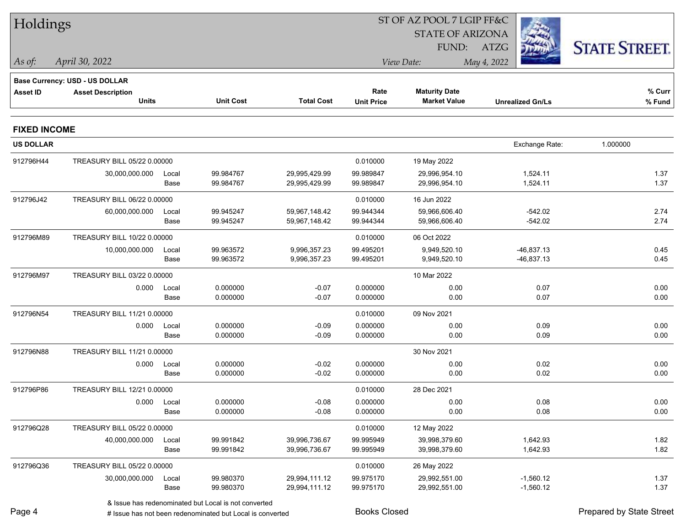| Holdings            |                                |             |                  |                   |                   | ST OF AZ POOL 7 LGIP FF&C |                         |                      |
|---------------------|--------------------------------|-------------|------------------|-------------------|-------------------|---------------------------|-------------------------|----------------------|
|                     |                                |             |                  |                   |                   | <b>STATE OF ARIZONA</b>   |                         |                      |
|                     |                                |             |                  |                   |                   | FUND: ATZG                |                         | <b>STATE STREET.</b> |
| As of:              | April 30, 2022                 |             |                  |                   |                   | View Date:                | May 4, 2022             |                      |
|                     | Base Currency: USD - US DOLLAR |             |                  |                   |                   |                           |                         |                      |
| <b>Asset ID</b>     | <b>Asset Description</b>       |             |                  |                   | Rate              | <b>Maturity Date</b>      |                         | % Curr               |
|                     | <b>Units</b>                   |             | <b>Unit Cost</b> | <b>Total Cost</b> | <b>Unit Price</b> | <b>Market Value</b>       | <b>Unrealized Gn/Ls</b> | % Fund               |
| <b>FIXED INCOME</b> |                                |             |                  |                   |                   |                           |                         |                      |
| <b>US DOLLAR</b>    |                                |             |                  |                   |                   |                           | Exchange Rate:          | 1.000000             |
| 912796H44           | TREASURY BILL 05/22 0.00000    |             |                  |                   | 0.010000          | 19 May 2022               |                         |                      |
|                     | 30,000,000.000                 | Local       | 99.984767        | 29,995,429.99     | 99.989847         | 29,996,954.10             | 1,524.11                | 1.37                 |
|                     |                                | Base        | 99.984767        | 29,995,429.99     | 99.989847         | 29,996,954.10             | 1,524.11                | 1.37                 |
| 912796J42           | TREASURY BILL 06/22 0.00000    |             |                  |                   | 0.010000          | 16 Jun 2022               |                         |                      |
|                     | 60,000,000.000                 | Local       | 99.945247        | 59,967,148.42     | 99.944344         | 59,966,606.40             | $-542.02$               | 2.74                 |
|                     |                                | Base        | 99.945247        | 59,967,148.42     | 99.944344         | 59,966,606.40             | $-542.02$               | 2.74                 |
| 912796M89           | TREASURY BILL 10/22 0.00000    |             |                  |                   | 0.010000          | 06 Oct 2022               |                         |                      |
|                     | 10,000,000.000                 | Local       | 99.963572        | 9,996,357.23      | 99.495201         | 9,949,520.10              | $-46,837.13$            | 0.45                 |
|                     |                                | Base        | 99.963572        | 9,996,357.23      | 99.495201         | 9,949,520.10              | $-46,837.13$            | 0.45                 |
| 912796M97           | TREASURY BILL 03/22 0.00000    |             |                  |                   |                   | 10 Mar 2022               |                         |                      |
|                     | 0.000                          | Local       | 0.000000         | $-0.07$           | 0.000000          | 0.00                      | 0.07                    | 0.00                 |
|                     |                                | Base        | 0.000000         | $-0.07$           | 0.000000          | 0.00                      | 0.07                    | 0.00                 |
| 912796N54           | TREASURY BILL 11/21 0.00000    |             |                  |                   | 0.010000          | 09 Nov 2021               |                         |                      |
|                     | 0.000                          | Local       | 0.000000         | $-0.09$           | 0.000000          | 0.00                      | 0.09                    | 0.00                 |
|                     |                                | Base        | 0.000000         | $-0.09$           | 0.000000          | 0.00                      | 0.09                    | 0.00                 |
| 912796N88           | TREASURY BILL 11/21 0.00000    |             |                  |                   |                   | 30 Nov 2021               |                         |                      |
|                     | 0.000                          | Local       | 0.000000         | $-0.02$           | 0.000000          | 0.00                      | 0.02                    | 0.00                 |
|                     |                                | Base        | 0.000000         | $-0.02$           | 0.000000          | 0.00                      | 0.02                    | 0.00                 |
| 912796P86           | TREASURY BILL 12/21 0.00000    |             |                  |                   | 0.010000          | 28 Dec 2021               |                         |                      |
|                     |                                | 0.000 Local | 0.000000         | $-0.08$           | 0.000000          | 0.00                      | 0.08                    | 0.00                 |
|                     |                                | Base        | 0.000000         | $-0.08$           | 0.000000          | 0.00                      | 0.08                    | 0.00                 |
| 912796Q28           | TREASURY BILL 05/22 0.00000    |             |                  |                   | 0.010000          | 12 May 2022               |                         |                      |
|                     | 40,000,000.000                 | Local       | 99.991842        | 39,996,736.67     | 99.995949         | 39,998,379.60             | 1,642.93                | 1.82                 |
|                     |                                | Base        | 99.991842        | 39,996,736.67     | 99.995949         | 39,998,379.60             | 1,642.93                | 1.82                 |
| 912796Q36           | TREASURY BILL 05/22 0.00000    |             |                  |                   | 0.010000          | 26 May 2022               |                         |                      |
|                     | 30,000,000.000                 | Local       | 99.980370        | 29,994,111.12     | 99.975170         | 29,992,551.00             | $-1,560.12$             | 1.37                 |
|                     |                                | Base        | 99.980370        | 29,994,111.12     | 99.975170         | 29,992,551.00             | $-1,560.12$             | 1.37                 |
|                     |                                |             |                  |                   |                   |                           |                         |                      |

& Issue has redenominated but Local is not converted

Page 4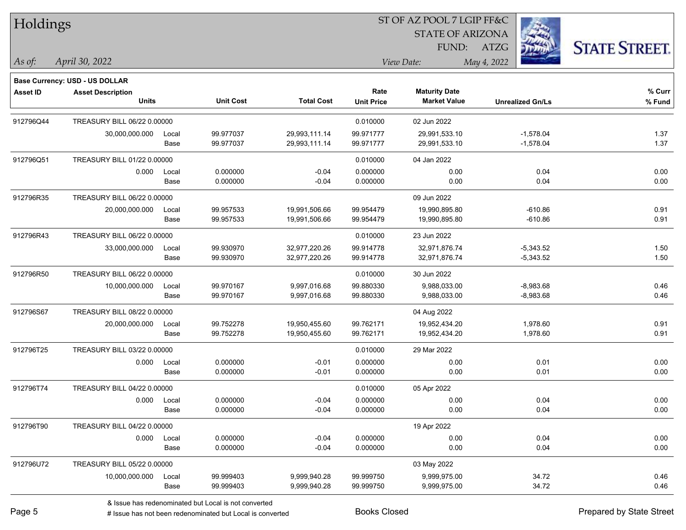Holdings

### ST OF AZ POOL 7 LGIP FF&C

STATE OF ARIZONA FUND:

ATZG



**% Fund**

**% Curr**

*April 30, 2022 As of: View Date: May 4, 2022*

|                 | <b>Base Currency: USD - US DOLLAR</b>    |             |                  |                   |                           |                                             |                         |       |
|-----------------|------------------------------------------|-------------|------------------|-------------------|---------------------------|---------------------------------------------|-------------------------|-------|
| <b>Asset ID</b> | <b>Asset Description</b><br><b>Units</b> |             | <b>Unit Cost</b> | <b>Total Cost</b> | Rate<br><b>Unit Price</b> | <b>Maturity Date</b><br><b>Market Value</b> | <b>Unrealized Gn/Ls</b> | % Cur |
|                 |                                          |             |                  |                   |                           |                                             |                         | % Fun |
| 912796Q44       | TREASURY BILL 06/22 0.00000              |             |                  |                   | 0.010000                  | 02 Jun 2022                                 |                         |       |
|                 | 30,000,000.000                           | Local       | 99.977037        | 29,993,111.14     | 99.971777                 | 29,991,533.10                               | $-1,578.04$             | 1.37  |
|                 |                                          | Base        | 99.977037        | 29,993,111.14     | 99.971777                 | 29,991,533.10                               | $-1,578.04$             | 1.37  |
| 912796Q51       | TREASURY BILL 01/22 0.00000              |             |                  |                   | 0.010000                  | 04 Jan 2022                                 |                         |       |
|                 | 0.000                                    | Local       | 0.000000         | $-0.04$           | 0.000000                  | 0.00                                        | 0.04                    | 0.00  |
|                 |                                          | Base        | 0.000000         | $-0.04$           | 0.000000                  | 0.00                                        | 0.04                    | 0.00  |
| 912796R35       | TREASURY BILL 06/22 0.00000              |             |                  |                   |                           | 09 Jun 2022                                 |                         |       |
|                 | 20,000,000.000                           | Local       | 99.957533        | 19,991,506.66     | 99.954479                 | 19,990,895.80                               | $-610.86$               | 0.91  |
|                 |                                          | <b>Base</b> | 99.957533        | 19,991,506.66     | 99.954479                 | 19,990,895.80                               | $-610.86$               | 0.91  |
| 912796R43       | TREASURY BILL 06/22 0.00000              |             |                  |                   | 0.010000                  | 23 Jun 2022                                 |                         |       |
|                 | 33,000,000.000                           | Local       | 99.930970        | 32,977,220.26     | 99.914778                 | 32,971,876.74                               | $-5,343.52$             | 1.50  |
|                 |                                          | Base        | 99.930970        | 32,977,220.26     | 99.914778                 | 32,971,876.74                               | $-5,343.52$             | 1.50  |
| 912796R50       | TREASURY BILL 06/22 0.00000              |             |                  |                   | 0.010000                  | 30 Jun 2022                                 |                         |       |
|                 | 10,000,000.000                           | Local       | 99.970167        | 9,997,016.68      | 99.880330                 | 9,988,033.00                                | $-8,983.68$             | 0.46  |
|                 |                                          | Base        | 99.970167        | 9,997,016.68      | 99.880330                 | 9,988,033.00                                | $-8,983.68$             | 0.46  |
| 912796S67       | TREASURY BILL 08/22 0.00000              |             |                  |                   |                           | 04 Aug 2022                                 |                         |       |
|                 | 20,000,000.000                           | Local       | 99.752278        | 19,950,455.60     | 99.762171                 | 19,952,434.20                               | 1,978.60                | 0.91  |
|                 |                                          | Base        | 99.752278        | 19,950,455.60     | 99.762171                 | 19,952,434.20                               | 1,978.60                | 0.91  |
| 912796T25       | TREASURY BILL 03/22 0.00000              |             |                  |                   | 0.010000                  | 29 Mar 2022                                 |                         |       |
|                 | 0.000                                    | Local       | 0.000000         | $-0.01$           | 0.000000                  | 0.00                                        | 0.01                    | 0.00  |
|                 |                                          | Base        | 0.000000         | $-0.01$           | 0.000000                  | 0.00                                        | 0.01                    | 0.00  |
| 912796T74       | TREASURY BILL 04/22 0.00000              |             |                  |                   | 0.010000                  | 05 Apr 2022                                 |                         |       |
|                 | 0.000                                    | Local       | 0.000000         | $-0.04$           | 0.000000                  | 0.00                                        | 0.04                    | 0.00  |
|                 |                                          | Base        | 0.000000         | $-0.04$           | 0.000000                  | 0.00                                        | 0.04                    | 0.00  |
| 912796T90       | TREASURY BILL 04/22 0.00000              |             |                  |                   |                           | 19 Apr 2022                                 |                         |       |
|                 | 0.000                                    | Local       | 0.000000         | $-0.04$           | 0.000000                  | 0.00                                        | 0.04                    | 0.00  |
|                 |                                          | Base        | 0.000000         | $-0.04$           | 0.000000                  | 0.00                                        | 0.04                    | 0.00  |

912796U72 TREASURY BILL 05/22 0.00000 03 May 2022

10,000,000.000 Local 99.999403 9,999,940.28 99.999750 9,999,975.00 34.72 0.46

Base 99.999403 9,999,940.28 99.999750 9,999,975.00 34.72 0.46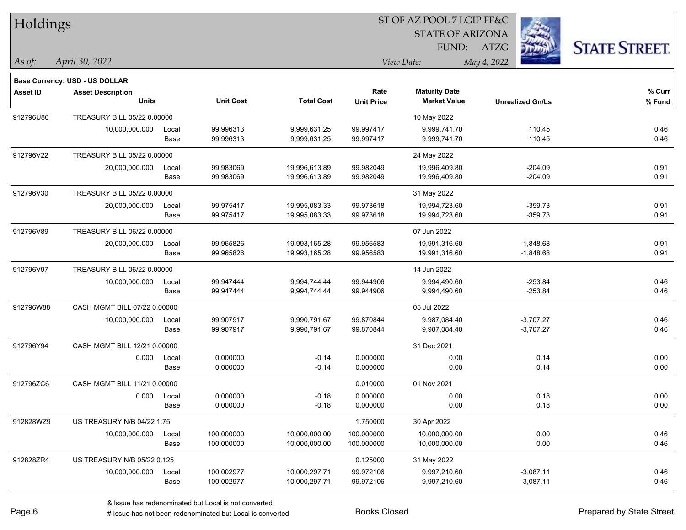| Holdings        |                                       |       |                  |                   | ST OF AZ POOL 7 LGIP FF&C |                         |                         |                      |  |  |
|-----------------|---------------------------------------|-------|------------------|-------------------|---------------------------|-------------------------|-------------------------|----------------------|--|--|
|                 |                                       |       |                  |                   |                           | <b>STATE OF ARIZONA</b> |                         |                      |  |  |
|                 |                                       |       |                  |                   |                           | FUND:                   | ATZG                    | <b>STATE STREET.</b> |  |  |
| As of:          | April 30, 2022                        |       |                  |                   |                           | View Date:              | May 4, 2022             |                      |  |  |
|                 | <b>Base Currency: USD - US DOLLAR</b> |       |                  |                   |                           |                         |                         |                      |  |  |
| <b>Asset ID</b> | <b>Asset Description</b>              |       |                  |                   | Rate                      | <b>Maturity Date</b>    |                         | % Curr               |  |  |
|                 | <b>Units</b>                          |       | <b>Unit Cost</b> | <b>Total Cost</b> | <b>Unit Price</b>         | <b>Market Value</b>     | <b>Unrealized Gn/Ls</b> | % Fund               |  |  |
| 912796U80       | TREASURY BILL 05/22 0.00000           |       |                  |                   |                           | 10 May 2022             |                         |                      |  |  |
|                 | 10,000,000.000                        | Local | 99.996313        | 9,999,631.25      | 99.997417                 | 9,999,741.70            | 110.45                  | 0.46                 |  |  |
|                 |                                       | Base  | 99.996313        | 9,999,631.25      | 99.997417                 | 9,999,741.70            | 110.45                  | 0.46                 |  |  |
| 912796V22       | TREASURY BILL 05/22 0.00000           |       |                  |                   |                           | 24 May 2022             |                         |                      |  |  |
|                 | 20,000,000.000                        | Local | 99.983069        | 19,996,613.89     | 99.982049                 | 19,996,409.80           | -204.09                 | 0.91                 |  |  |
|                 |                                       | Base  | 99.983069        | 19,996,613.89     | 99.982049                 | 19,996,409.80           | $-204.09$               | 0.91                 |  |  |
| 912796V30       | TREASURY BILL 05/22 0.00000           |       |                  |                   |                           | 31 May 2022             |                         |                      |  |  |
|                 | 20,000,000.000                        | Local | 99.975417        | 19,995,083.33     | 99.973618                 | 19,994,723.60           | $-359.73$               | 0.91                 |  |  |
|                 |                                       | Base  | 99.975417        | 19,995,083.33     | 99.973618                 | 19,994,723.60           | $-359.73$               | 0.91                 |  |  |
| 912796V89       | TREASURY BILL 06/22 0.00000           |       |                  |                   |                           | 07 Jun 2022             |                         |                      |  |  |
|                 | 20,000,000.000                        | Local | 99.965826        | 19,993,165.28     | 99.956583                 | 19,991,316.60           | $-1,848.68$             | 0.91                 |  |  |
|                 |                                       | Base  | 99.965826        | 19,993,165.28     | 99.956583                 | 19,991,316.60           | $-1,848.68$             | 0.91                 |  |  |
| 912796V97       | TREASURY BILL 06/22 0.00000           |       |                  |                   |                           | 14 Jun 2022             |                         |                      |  |  |
|                 | 10,000,000.000                        | Local | 99.947444        | 9,994,744.44      | 99.944906                 | 9,994,490.60            | $-253.84$               | 0.46                 |  |  |
|                 |                                       | Base  | 99.947444        | 9,994,744.44      | 99.944906                 | 9,994,490.60            | $-253.84$               | 0.46                 |  |  |
| 912796W88       | CASH MGMT BILL 07/22 0.00000          |       |                  |                   |                           | 05 Jul 2022             |                         |                      |  |  |
|                 | 10,000,000.000                        | Local | 99.907917        | 9,990,791.67      | 99.870844                 | 9,987,084.40            | $-3,707.27$             | 0.46                 |  |  |
|                 |                                       | Base  | 99.907917        | 9,990,791.67      | 99.870844                 | 9,987,084.40            | $-3,707.27$             | 0.46                 |  |  |
| 912796Y94       | CASH MGMT BILL 12/21 0.00000          |       |                  |                   |                           | 31 Dec 2021             |                         |                      |  |  |
|                 | 0.000                                 | Local | 0.000000         | $-0.14$           | 0.000000                  | 0.00                    | 0.14                    | 0.00                 |  |  |
|                 |                                       | Base  | 0.000000         | $-0.14$           | 0.000000                  | 0.00                    | 0.14                    | 0.00                 |  |  |
| 912796ZC6       | CASH MGMT BILL 11/21 0.00000          |       |                  |                   | 0.010000                  | 01 Nov 2021             |                         |                      |  |  |
|                 | 0.000                                 | Local | 0.000000         | $-0.18$           | 0.000000                  | 0.00                    | 0.18                    | 0.00                 |  |  |
|                 |                                       | Base  | 0.000000         | $-0.18$           | 0.000000                  | 0.00                    | 0.18                    | 0.00                 |  |  |
| 912828WZ9       | <b>US TREASURY N/B 04/22 1.75</b>     |       |                  |                   | 1.750000                  | 30 Apr 2022             |                         |                      |  |  |
|                 | 10,000,000.000                        | Local | 100.000000       | 10,000,000.00     | 100.000000                | 10,000,000.00           | 0.00                    | 0.46                 |  |  |
|                 |                                       | Base  | 100.000000       | 10,000,000.00     | 100.000000                | 10,000,000.00           | 0.00                    | 0.46                 |  |  |
| 912828ZR4       | US TREASURY N/B 05/22 0.125           |       |                  |                   | 0.125000                  | 31 May 2022             |                         |                      |  |  |
|                 | 10,000,000.000                        | Local | 100.002977       | 10,000,297.71     | 99.972106                 | 9,997,210.60            | $-3,087.11$             | 0.46                 |  |  |
|                 |                                       | Base  | 100.002977       | 10,000,297.71     | 99.972106                 | 9,997,210.60            | $-3,087.11$             | 0.46                 |  |  |

# Issue has not been redenominated but Local is converted Books Closed Prepared by State Street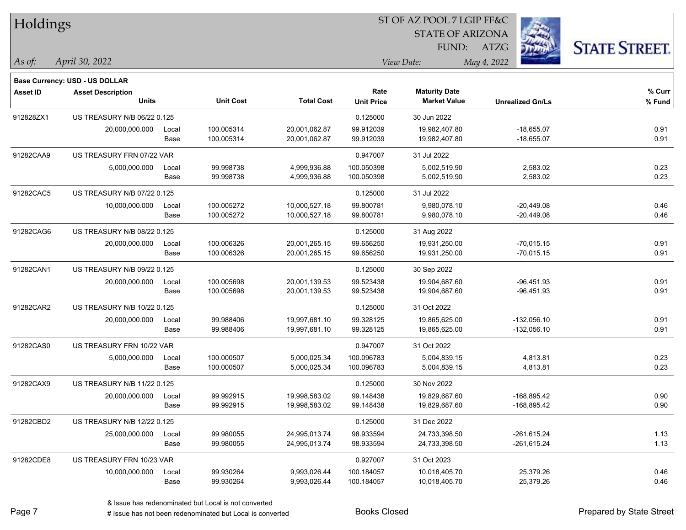| Holdings        |                                       |       |                  |                   |                   | ST OF AZ POOL 7 LGIP FF&C |                         |                      |
|-----------------|---------------------------------------|-------|------------------|-------------------|-------------------|---------------------------|-------------------------|----------------------|
|                 |                                       |       |                  |                   |                   | <b>STATE OF ARIZONA</b>   |                         |                      |
|                 |                                       |       |                  |                   |                   | FUND:                     | <b>ATZG</b>             | <b>STATE STREET.</b> |
| As of:          | April 30, 2022                        |       |                  |                   |                   | View Date:                | May 4, 2022             |                      |
|                 | <b>Base Currency: USD - US DOLLAR</b> |       |                  |                   |                   |                           |                         |                      |
| <b>Asset ID</b> | <b>Asset Description</b>              |       |                  |                   | Rate              | <b>Maturity Date</b>      |                         | % Curr               |
|                 | <b>Units</b>                          |       | <b>Unit Cost</b> | <b>Total Cost</b> | <b>Unit Price</b> | <b>Market Value</b>       | <b>Unrealized Gn/Ls</b> | % Fund               |
| 912828ZX1       | US TREASURY N/B 06/22 0.125           |       |                  |                   | 0.125000          | 30 Jun 2022               |                         |                      |
|                 | 20,000,000.000                        | Local | 100.005314       | 20,001,062.87     | 99.912039         | 19,982,407.80             | $-18,655.07$            | 0.91                 |
|                 |                                       | Base  | 100.005314       | 20,001,062.87     | 99.912039         | 19,982,407.80             | $-18,655.07$            | 0.91                 |
| 91282CAA9       | US TREASURY FRN 07/22 VAR             |       |                  |                   | 0.947007          | 31 Jul 2022               |                         |                      |
|                 | 5,000,000.000                         | Local | 99.998738        | 4,999,936.88      | 100.050398        | 5,002,519.90              | 2,583.02                | 0.23                 |
|                 |                                       | Base  | 99.998738        | 4,999,936.88      | 100.050398        | 5,002,519.90              | 2,583.02                | 0.23                 |
| 91282CAC5       | US TREASURY N/B 07/22 0.125           |       |                  |                   | 0.125000          | 31 Jul 2022               |                         |                      |
|                 | 10,000,000.000                        | Local | 100.005272       | 10,000,527.18     | 99.800781         | 9,980,078.10              | $-20,449.08$            | 0.46                 |
|                 |                                       | Base  | 100.005272       | 10,000,527.18     | 99.800781         | 9,980,078.10              | $-20,449.08$            | 0.46                 |
| 91282CAG6       | US TREASURY N/B 08/22 0.125           |       |                  |                   | 0.125000          | 31 Aug 2022               |                         |                      |
|                 | 20,000,000.000                        | Local | 100.006326       | 20,001,265.15     | 99.656250         | 19,931,250.00             | $-70,015.15$            | 0.91                 |
|                 |                                       | Base  | 100.006326       | 20,001,265.15     | 99.656250         | 19,931,250.00             | $-70,015.15$            | 0.91                 |
| 91282CAN1       | US TREASURY N/B 09/22 0.125           |       |                  |                   | 0.125000          | 30 Sep 2022               |                         |                      |
|                 | 20,000,000.000                        | Local | 100.005698       | 20,001,139.53     | 99.523438         | 19,904,687.60             | $-96,451.93$            | 0.91                 |
|                 |                                       | Base  | 100.005698       | 20,001,139.53     | 99.523438         | 19,904,687.60             | $-96,451.93$            | 0.91                 |
| 91282CAR2       | US TREASURY N/B 10/22 0.125           |       |                  |                   | 0.125000          | 31 Oct 2022               |                         |                      |
|                 | 20,000,000.000                        | Local | 99.988406        | 19,997,681.10     | 99.328125         | 19,865,625.00             | $-132,056.10$           | 0.91                 |
|                 |                                       | Base  | 99.988406        | 19,997,681.10     | 99.328125         | 19,865,625.00             | $-132,056.10$           | 0.91                 |
| 91282CAS0       | US TREASURY FRN 10/22 VAR             |       |                  |                   | 0.947007          | 31 Oct 2022               |                         |                      |
|                 | 5,000,000.000                         | Local | 100.000507       | 5,000,025.34      | 100.096783        | 5,004,839.15              | 4,813.81                | 0.23                 |
|                 |                                       | Base  | 100.000507       | 5,000,025.34      | 100.096783        | 5,004,839.15              | 4,813.81                | 0.23                 |
| 91282CAX9       | US TREASURY N/B 11/22 0.125           |       |                  |                   | 0.125000          | 30 Nov 2022               |                         |                      |
|                 | 20,000,000.000                        | Local | 99.992915        | 19,998,583.02     | 99.148438         | 19,829,687.60             | $-168,895.42$           | 0.90                 |
|                 |                                       | Base  | 99.992915        | 19,998,583.02     | 99.148438         | 19,829,687.60             | -168,895.42             | 0.90                 |
| 91282CBD2       | US TREASURY N/B 12/22 0.125           |       |                  |                   | 0.125000          | 31 Dec 2022               |                         |                      |
|                 | 25,000,000.000                        | Local | 99.980055        | 24,995,013.74     | 98.933594         | 24,733,398.50             | $-261,615.24$           | 1.13                 |
|                 |                                       | Base  | 99.980055        | 24,995,013.74     | 98.933594         | 24,733,398.50             | $-261,615.24$           | 1.13                 |
| 91282CDE8       | US TREASURY FRN 10/23 VAR             |       |                  |                   | 0.927007          | 31 Oct 2023               |                         |                      |
|                 | 10,000,000.000                        | Local | 99.930264        | 9,993,026.44      | 100.184057        | 10,018,405.70             | 25,379.26               | 0.46                 |
|                 |                                       | Base  | 99.930264        | 9,993,026.44      | 100.184057        | 10,018,405.70             | 25,379.26               | 0.46                 |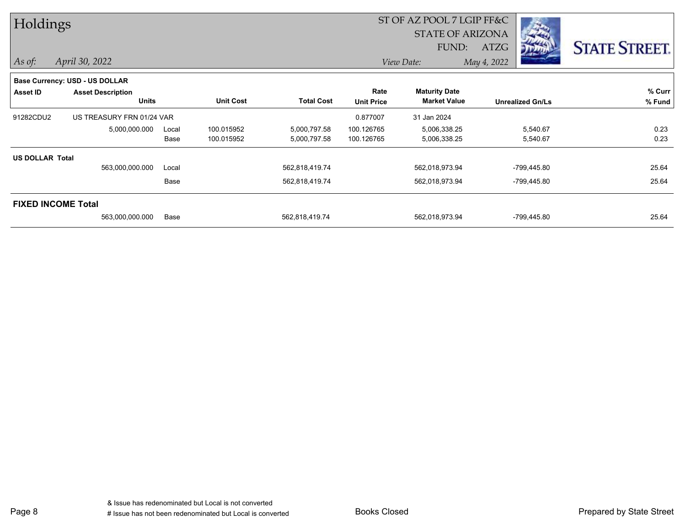|                        | Holdings                       |       |                  |                   |                         | ST OF AZ POOL 7 LGIP FF&C |             |                         |                      |
|------------------------|--------------------------------|-------|------------------|-------------------|-------------------------|---------------------------|-------------|-------------------------|----------------------|
|                        |                                |       |                  |                   | <b>STATE OF ARIZONA</b> |                           |             |                         |                      |
|                        |                                |       |                  |                   |                         | FUND:                     | <b>ATZG</b> |                         | <b>STATE STREET.</b> |
| $\vert$ As of:         | April 30, 2022                 |       |                  |                   |                         | View Date:                | May 4, 2022 |                         |                      |
|                        | Base Currency: USD - US DOLLAR |       |                  |                   |                         |                           |             |                         |                      |
| <b>Asset ID</b>        | <b>Asset Description</b>       |       |                  |                   | Rate                    | <b>Maturity Date</b>      |             |                         | % Curr               |
|                        | <b>Units</b>                   |       | <b>Unit Cost</b> | <b>Total Cost</b> | <b>Unit Price</b>       | <b>Market Value</b>       |             | <b>Unrealized Gn/Ls</b> | % Fund               |
| 91282CDU2              | US TREASURY FRN 01/24 VAR      |       |                  |                   | 0.877007                | 31 Jan 2024               |             |                         |                      |
|                        | 5,000,000.000                  | Local | 100.015952       | 5,000,797.58      | 100.126765              | 5,006,338.25              |             | 5,540.67                | 0.23                 |
|                        |                                | Base  | 100.015952       | 5,000,797.58      | 100.126765              | 5,006,338.25              |             | 5,540.67                | 0.23                 |
| <b>US DOLLAR Total</b> |                                |       |                  |                   |                         |                           |             |                         |                      |
|                        | 563,000,000.000                | Local |                  | 562,818,419.74    |                         | 562,018,973.94            |             | -799,445.80             | 25.64                |
|                        |                                | Base  |                  | 562,818,419.74    |                         | 562,018,973.94            |             | -799,445.80             | 25.64                |
|                        | <b>FIXED INCOME Total</b>      |       |                  |                   |                         |                           |             |                         |                      |
|                        | 563,000,000.000                | Base  |                  | 562,818,419.74    |                         | 562,018,973.94            |             | -799,445.80             | 25.64                |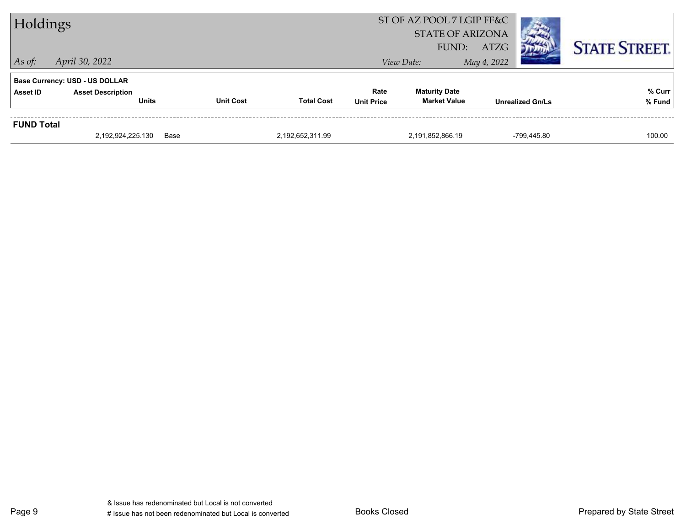| Holdings          |                                          |                  |                   |                           | ST OF AZ POOL 7 LGIP FF&C<br><b>STATE OF ARIZONA</b><br>FUND: | <b>ATZG</b> |                         | <b>STATE STREET.</b> |
|-------------------|------------------------------------------|------------------|-------------------|---------------------------|---------------------------------------------------------------|-------------|-------------------------|----------------------|
| $\vert$ As of:    | April 30, 2022                           |                  |                   |                           | View Date:                                                    | May 4, 2022 |                         |                      |
|                   | <b>Base Currency: USD - US DOLLAR</b>    |                  |                   |                           |                                                               |             |                         |                      |
| Asset ID          | <b>Asset Description</b><br><b>Units</b> | <b>Unit Cost</b> | <b>Total Cost</b> | Rate<br><b>Unit Price</b> | <b>Maturity Date</b><br><b>Market Value</b>                   |             | <b>Unrealized Gn/Ls</b> | % Curr<br>% Fund     |
|                   |                                          |                  |                   |                           |                                                               |             |                         |                      |
| <b>FUND Total</b> |                                          |                  |                   |                           |                                                               |             |                         |                      |
|                   | 2,192,924,225.130                        | Base             | 2,192,652,311.99  |                           | 2,191,852,866.19                                              |             | -799.445.80             | 100.00               |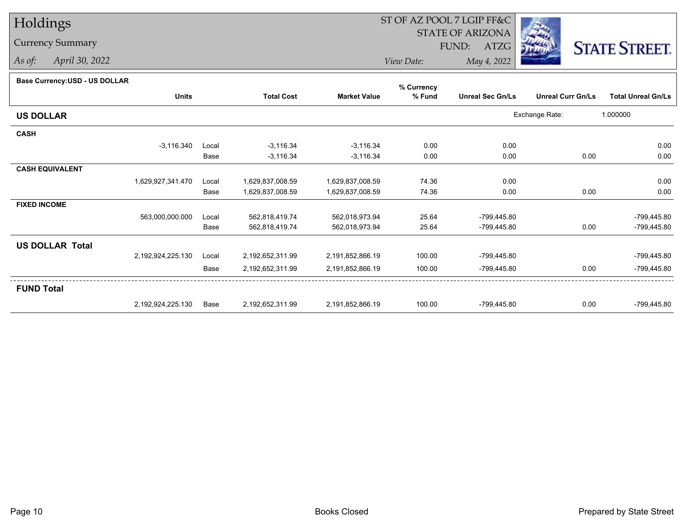# Holdings

### Currency Summary

*As of: April 30, 2022*

## ST OF AZ POOL 7 LGIP FF&C

STATE OF ARIZONA

FUND: ATZG



*View Date:May 4, 2022*

#### **Base Currency:USD - US DOLLAR**

|                        |                   |       |                   |                     | % Currency |                         |                          |                           |
|------------------------|-------------------|-------|-------------------|---------------------|------------|-------------------------|--------------------------|---------------------------|
|                        | <b>Units</b>      |       | <b>Total Cost</b> | <b>Market Value</b> | % Fund     | <b>Unreal Sec Gn/Ls</b> | <b>Unreal Curr Gn/Ls</b> | <b>Total Unreal Gn/Ls</b> |
| <b>US DOLLAR</b>       |                   |       |                   |                     |            |                         | Exchange Rate:           | 1.000000                  |
| <b>CASH</b>            |                   |       |                   |                     |            |                         |                          |                           |
|                        | $-3,116.340$      | Local | $-3,116.34$       | $-3,116.34$         | 0.00       | 0.00                    |                          | 0.00                      |
|                        |                   | Base  | $-3,116.34$       | $-3,116.34$         | 0.00       | 0.00                    | 0.00                     | 0.00                      |
| <b>CASH EQUIVALENT</b> |                   |       |                   |                     |            |                         |                          |                           |
|                        | 1,629,927,341.470 | Local | 1,629,837,008.59  | 1,629,837,008.59    | 74.36      | 0.00                    |                          | 0.00                      |
|                        |                   | Base  | 1,629,837,008.59  | 1,629,837,008.59    | 74.36      | 0.00                    | 0.00                     | 0.00                      |
| <b>FIXED INCOME</b>    |                   |       |                   |                     |            |                         |                          |                           |
|                        | 563,000,000.000   | Local | 562,818,419.74    | 562,018,973.94      | 25.64      | -799,445.80             |                          | -799,445.80               |
|                        |                   | Base  | 562,818,419.74    | 562,018,973.94      | 25.64      | -799,445.80             | 0.00                     | -799,445.80               |
| <b>US DOLLAR Total</b> |                   |       |                   |                     |            |                         |                          |                           |
|                        | 2,192,924,225.130 | Local | 2,192,652,311.99  | 2,191,852,866.19    | 100.00     | -799,445.80             |                          | -799,445.80               |
|                        |                   | Base  | 2,192,652,311.99  | 2,191,852,866.19    | 100.00     | -799,445.80             | 0.00                     | -799,445.80               |
| <b>FUND Total</b>      |                   |       |                   |                     |            |                         |                          |                           |
|                        | 2,192,924,225.130 | Base  | 2,192,652,311.99  | 2,191,852,866.19    | 100.00     | -799,445.80             | 0.00                     | -799,445.80               |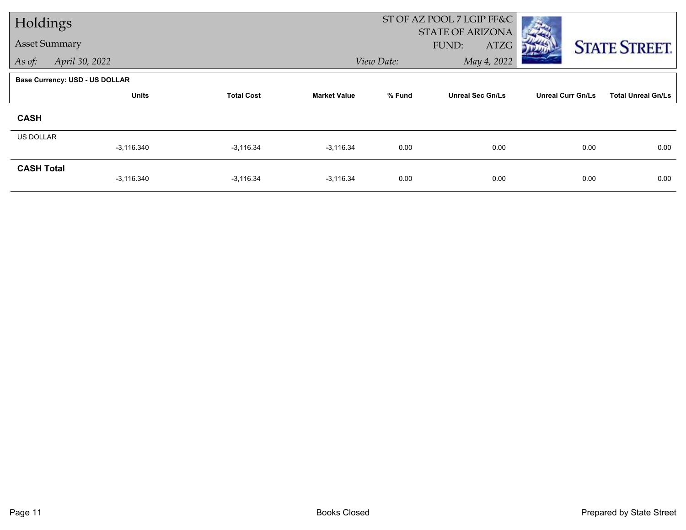| Holdings             |                                       |                   |                     |            | ST OF AZ POOL 7 LGIP FF&C                |                          |                           |
|----------------------|---------------------------------------|-------------------|---------------------|------------|------------------------------------------|--------------------------|---------------------------|
| <b>Asset Summary</b> |                                       |                   |                     |            | <b>STATE OF ARIZONA</b><br>FUND:<br>ATZG |                          | <b>STATE STREET.</b>      |
| As of:               | April 30, 2022                        |                   |                     | View Date: | May 4, 2022                              |                          |                           |
|                      | <b>Base Currency: USD - US DOLLAR</b> |                   |                     |            |                                          |                          |                           |
|                      | <b>Units</b>                          | <b>Total Cost</b> | <b>Market Value</b> | % Fund     | <b>Unreal Sec Gn/Ls</b>                  | <b>Unreal Curr Gn/Ls</b> | <b>Total Unreal Gn/Ls</b> |
| <b>CASH</b>          |                                       |                   |                     |            |                                          |                          |                           |
| <b>US DOLLAR</b>     |                                       |                   |                     |            |                                          |                          |                           |
|                      | $-3,116.340$                          | $-3,116.34$       | $-3,116.34$         | 0.00       | 0.00                                     | 0.00                     | 0.00                      |
| <b>CASH Total</b>    | $-3,116.340$                          | $-3,116.34$       | $-3,116.34$         | 0.00       | 0.00                                     | 0.00                     | 0.00                      |
|                      |                                       |                   |                     |            |                                          |                          |                           |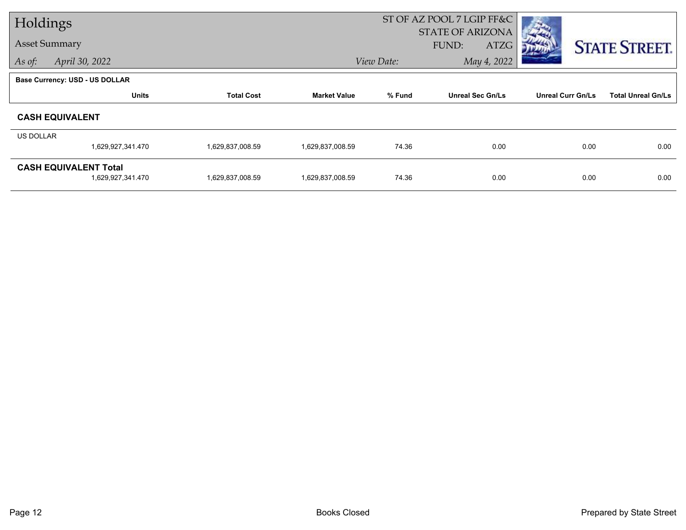| Holdings  |                                |                   |                     | ST OF AZ POOL 7 LGIP FF&C |                         |                          |                           |
|-----------|--------------------------------|-------------------|---------------------|---------------------------|-------------------------|--------------------------|---------------------------|
|           |                                |                   |                     |                           | <b>STATE OF ARIZONA</b> |                          |                           |
|           | <b>Asset Summary</b>           |                   |                     |                           | FUND:<br>ATZG           |                          | <b>STATE STREET.</b>      |
| As of:    | April 30, 2022                 |                   |                     | View Date:                | May 4, 2022             |                          |                           |
|           | Base Currency: USD - US DOLLAR |                   |                     |                           |                         |                          |                           |
|           | <b>Units</b>                   | <b>Total Cost</b> | <b>Market Value</b> | % Fund                    | <b>Unreal Sec Gn/Ls</b> | <b>Unreal Curr Gn/Ls</b> | <b>Total Unreal Gn/Ls</b> |
|           | <b>CASH EQUIVALENT</b>         |                   |                     |                           |                         |                          |                           |
| US DOLLAR |                                |                   |                     |                           |                         |                          |                           |
|           | 1,629,927,341.470              | 1,629,837,008.59  | 1,629,837,008.59    | 74.36                     | 0.00                    | 0.00                     | 0.00                      |
|           | <b>CASH EQUIVALENT Total</b>   |                   |                     |                           |                         |                          |                           |
|           | 1,629,927,341.470              | 1,629,837,008.59  | 1,629,837,008.59    | 74.36                     | 0.00                    | 0.00                     | 0.00                      |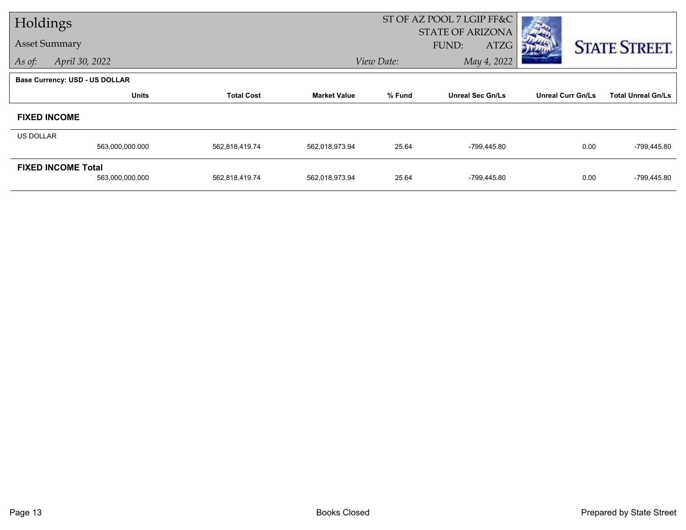| Holdings             |                                       |                   |                     | ST OF AZ POOL 7 LGIP FF&C |                                          |                          |                           |  |  |
|----------------------|---------------------------------------|-------------------|---------------------|---------------------------|------------------------------------------|--------------------------|---------------------------|--|--|
| <b>Asset Summary</b> |                                       |                   |                     |                           | <b>STATE OF ARIZONA</b><br>FUND:<br>ATZG |                          | <b>STATE STREET.</b>      |  |  |
| As of:               | April 30, 2022                        |                   |                     | View Date:                | May 4, 2022                              |                          |                           |  |  |
|                      | <b>Base Currency: USD - US DOLLAR</b> |                   |                     |                           |                                          |                          |                           |  |  |
|                      | <b>Units</b>                          | <b>Total Cost</b> | <b>Market Value</b> | % Fund                    | <b>Unreal Sec Gn/Ls</b>                  | <b>Unreal Curr Gn/Ls</b> | <b>Total Unreal Gn/Ls</b> |  |  |
| <b>FIXED INCOME</b>  |                                       |                   |                     |                           |                                          |                          |                           |  |  |
| <b>US DOLLAR</b>     |                                       |                   |                     |                           |                                          |                          |                           |  |  |
|                      | 563,000,000.000                       | 562,818,419.74    | 562,018,973.94      | 25.64                     | -799,445.80                              | 0.00                     | -799,445.80               |  |  |
|                      | <b>FIXED INCOME Total</b>             |                   |                     |                           |                                          |                          |                           |  |  |
|                      | 563,000,000.000                       | 562,818,419.74    | 562,018,973.94      | 25.64                     | -799,445.80                              | 0.00                     | -799,445.80               |  |  |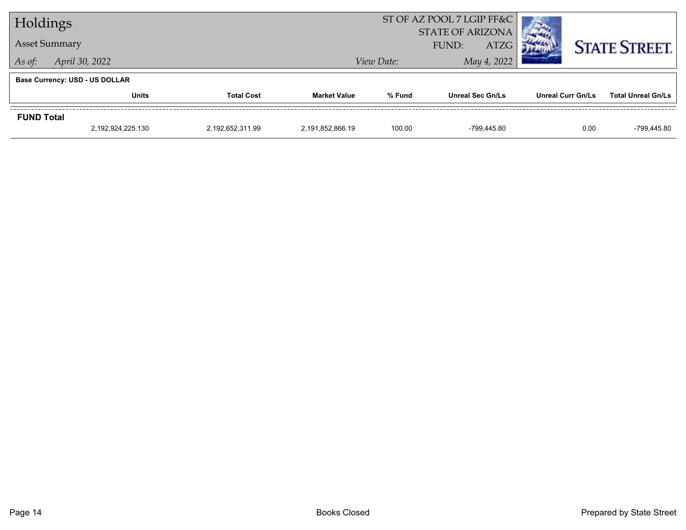| Holdings                              |                      |                   |                     | ST OF AZ POOL 7 LGIP FF&C<br><b>STATE OF ARIZONA</b> |                         |                   |                           |
|---------------------------------------|----------------------|-------------------|---------------------|------------------------------------------------------|-------------------------|-------------------|---------------------------|
|                                       | <b>Asset Summary</b> |                   |                     |                                                      | <b>ATZG</b><br>FUND:    |                   | <b>STATE STREET.</b>      |
| As of:                                | April 30, 2022       |                   |                     | View Date:                                           |                         |                   |                           |
| <b>Base Currency: USD - US DOLLAR</b> |                      |                   |                     |                                                      |                         |                   |                           |
|                                       | <b>Units</b>         | <b>Total Cost</b> | <b>Market Value</b> | % Fund                                               | <b>Unreal Sec Gn/Ls</b> | Unreal Curr Gn/Ls | <b>Total Unreal Gn/Ls</b> |
| <b>FUND Total</b>                     |                      |                   |                     |                                                      |                         |                   |                           |
|                                       | 2,192,924,225.130    | 2,192,652,311.99  | 2,191,852,866.19    | 100.00                                               | -799.445.80             | 0.00              | -799,445.80               |